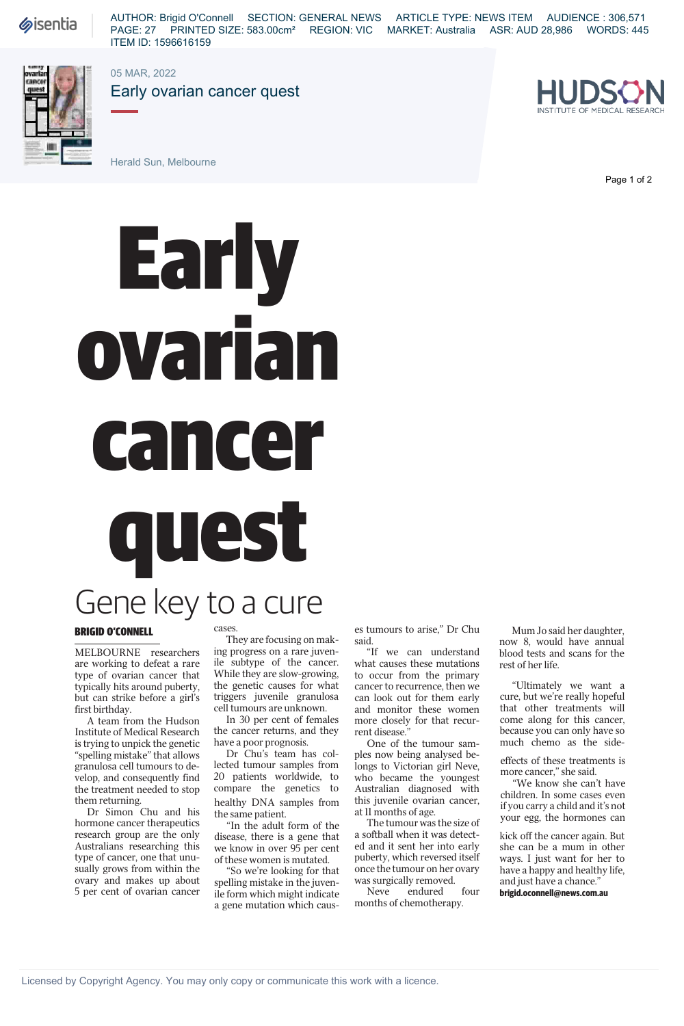## **Early** ovarian cancer quest

## Gene key to a cure

## BRIGID O'CONNELL

MELBOURNE researchers are working to defeat a rare type of ovarian cancer that typically hits around puberty, but can strike before a girl's first birthday.

A team from the Hudson Institute of Medical Research is trying to unpick the genetic "spelling mistake" that allows granulosa cell tumours to develop, and consequently find the treatment needed to stop them returning.

Dr Simon Chu and his hormone cancer therapeutics research group are the only Australians researching this type of cancer, one that unusually grows from within the ovary and makes up about 5 per cent of ovarian cancer

## cases.

They are focusing on making progress on a rare juvenile subtype of the cancer. While they are slow-growing, the genetic causes for what triggers juvenile granulosa cell tumours are unknown.

In 30 per cent of females the cancer returns, and they have a poor prognosis.

Dr Chu's team has collected tumour samples from 20 patients worldwide, to compare the genetics to healthy DNA samples from the same patient.

"In the adult form of the disease, there is a gene that we know in over 95 per cent of these women is mutated.

"So we're looking for that spelling mistake in the juvenile form which might indicate a gene mutation which caus-

es tumours to arise," Dr Chu said.

"If we can understand what causes these mutations to occur from the primary cancer to recurrence, then we can look out for them early and monitor these women more closely for that recurrent disease."

One of the tumour samples now being analysed belongs to Victorian girl Neve, who became the youngest Australian diagnosed with this juvenile ovarian cancer, at 11 months of age.

The tumour was the size of a softball when it was detected and it sent her into early puberty, which reversed itself once the tumour on her ovary was surgically removed.

Neve endured four months of chemotherapy.

Mum Jo said her daughter, now 8, would have annual blood tests and scans for the

"Ultimately we want a cure, but we're really hopeful that other treatments will come along for this cancer, because you can only have so much chemo as the side-

effects of these treatments is more cancer," she said.

"We know she can't have children. In some cases even if you carry a child and it's not your egg, the hormones can

kick off the cancer again. But she can be a mum in other ways. I just want for her to have a happy and healthy life, and just have a chance."

**brigid.oconnell@news.com.au**